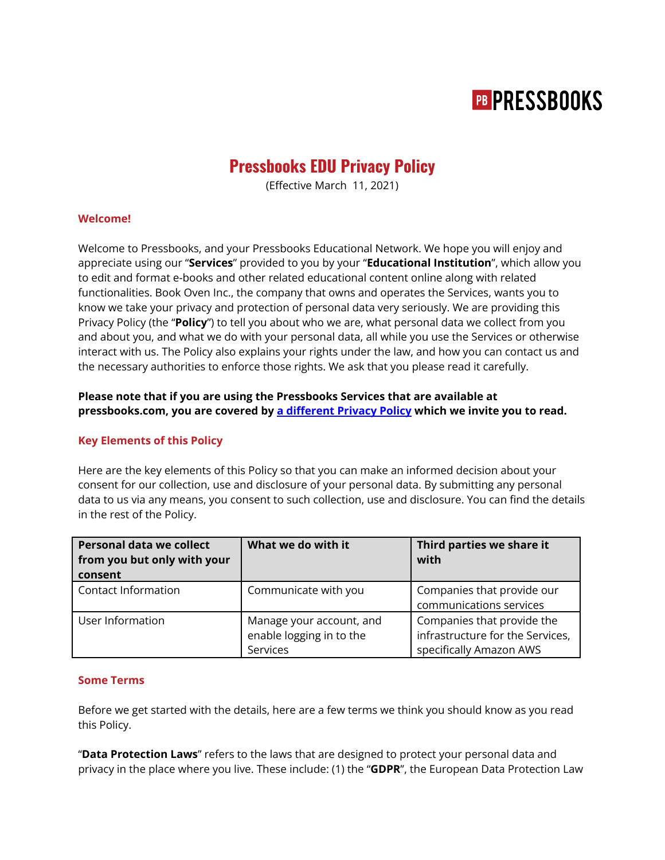# **PB PRESSBOOKS**

# **Pressbooks EDU Privacy Policy**

(Effective March 11, 2021)

### **Welcome!**

Welcome to Pressbooks, and your Pressbooks Educational Network. We hope you will enjoy and appreciate using our "**Services**" provided to you by your "**Educational Institution**", which allow you to edit and format e-books and other related educational content online along with related functionalities. Book Oven Inc., the company that owns and operates the Services, wants you to know we take your privacy and protection of personal data very seriously. We are providing this Privacy Policy (the "**Policy**") to tell you about who we are, what personal data we collect from you and about you, and what we do with your personal data, all while you use the Services or otherwise interact with us. The Policy also explains your rights under the law, and how you can contact us and the necessary authorities to enforce those rights. We ask that you please read it carefully.

# **Please note that if you are using the Pressbooks Services that are available at pressbooks.com, you are covered by a [different](https://pressbooks.com/privacy-policy/) Privacy Policy which we invite you to read.**

### **Key Elements of this Policy**

Here are the key elements of this Policy so that you can make an informed decision about your consent for our collection, use and disclosure of your personal data. By submitting any personal data to us via any means, you consent to such collection, use and disclosure. You can find the details in the rest of the Policy.

| <b>Personal data we collect</b><br>from you but only with your<br>consent | What we do with it                                               | Third parties we share it<br>with                                                         |
|---------------------------------------------------------------------------|------------------------------------------------------------------|-------------------------------------------------------------------------------------------|
| Contact Information                                                       | Communicate with you                                             | Companies that provide our<br>communications services                                     |
| User Information                                                          | Manage your account, and<br>enable logging in to the<br>Services | Companies that provide the<br>infrastructure for the Services,<br>specifically Amazon AWS |

## **Some Terms**

Before we get started with the details, here are a few terms we think you should know as you read this Policy.

"**Data Protection Laws**" refers to the laws that are designed to protect your personal data and privacy in the place where you live. These include: (1) the "**GDPR**", the European Data Protection Law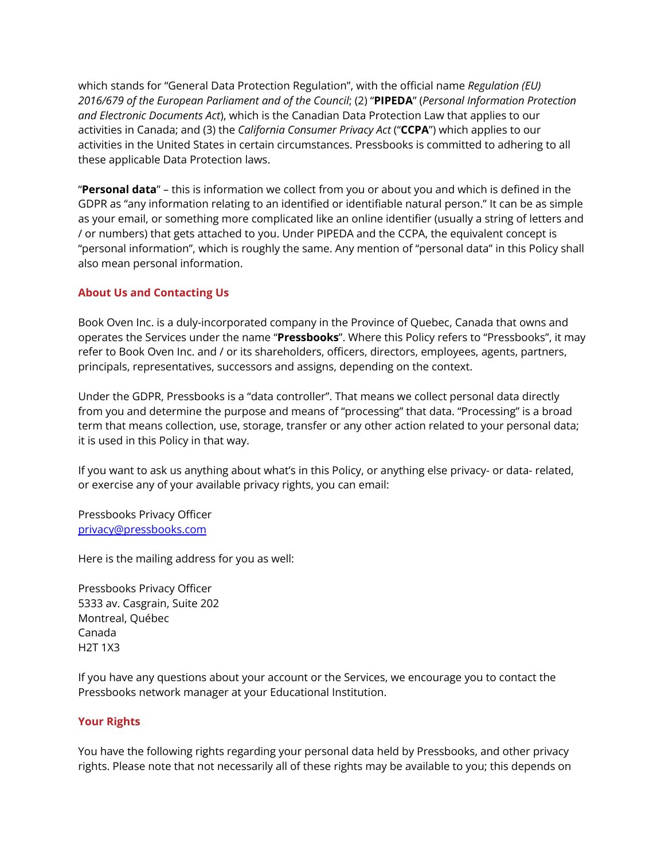which stands for "General Data Protection Regulation", with the official name *Regulation (EU) 2016/679 of the European Parliament and of the Council*; (2) "**PIPEDA**" (*Personal Information Protection and Electronic Documents Act*), which is the Canadian Data Protection Law that applies to our activities in Canada; and (3) the *California Consumer Privacy Act* ("**CCPA**") which applies to our activities in the United States in certain circumstances. Pressbooks is committed to adhering to all these applicable Data Protection laws.

"**Personal data**" – this is information we collect from you or about you and which is defined in the GDPR as "any information relating to an identified or identifiable natural person." It can be as simple as your email, or something more complicated like an online identifier (usually a string of letters and / or numbers) that gets attached to you. Under PIPEDA and the CCPA, the equivalent concept is "personal information", which is roughly the same. Any mention of "personal data" in this Policy shall also mean personal information.

# **About Us and Contacting Us**

Book Oven Inc. is a duly-incorporated company in the Province of Quebec, Canada that owns and operates the Services under the name "**Pressbooks**". Where this Policy refers to "Pressbooks", it may refer to Book Oven Inc. and / or its shareholders, officers, directors, employees, agents, partners, principals, representatives, successors and assigns, depending on the context.

Under the GDPR, Pressbooks is a "data controller". That means we collect personal data directly from you and determine the purpose and means of "processing" that data. "Processing" is a broad term that means collection, use, storage, transfer or any other action related to your personal data; it is used in this Policy in that way.

If you want to ask us anything about what's in this Policy, or anything else privacy- or data- related, or exercise any of your available privacy rights, you can email:

Pressbooks Privacy Officer [privacy@pressbooks.com](mailto:privacy@pressbooks.com)

Here is the mailing address for you as well:

Pressbooks Privacy Officer 5333 av. Casgrain, Suite 202 Montreal, Québec Canada H2T 1X3

If you have any questions about your account or the Services, we encourage you to contact the Pressbooks network manager at your Educational Institution.

### **Your Rights**

You have the following rights regarding your personal data held by Pressbooks, and other privacy rights. Please note that not necessarily all of these rights may be available to you; this depends on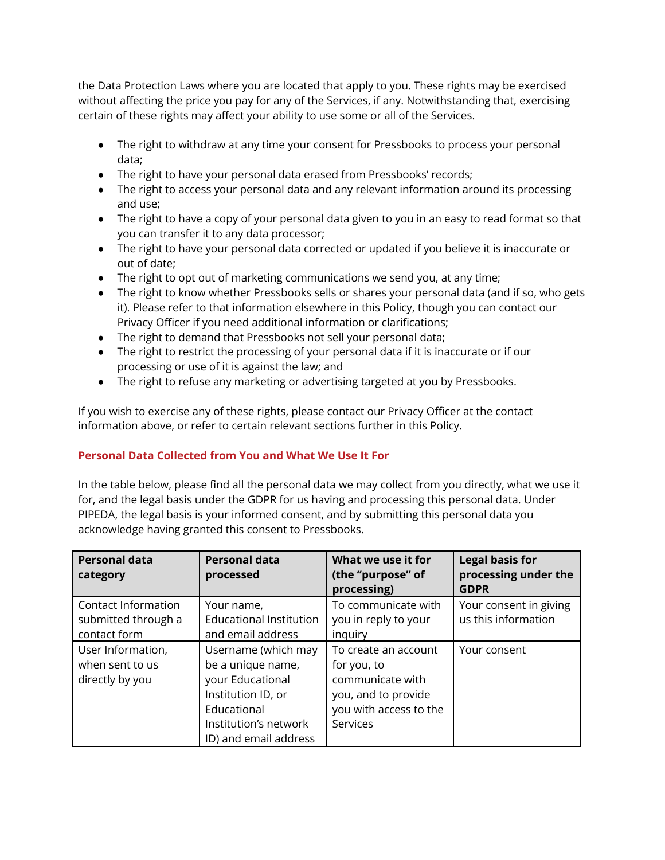the Data Protection Laws where you are located that apply to you. These rights may be exercised without affecting the price you pay for any of the Services, if any. Notwithstanding that, exercising certain of these rights may affect your ability to use some or all of the Services.

- The right to withdraw at any time your consent for Pressbooks to process your personal data;
- The right to have your personal data erased from Pressbooks' records;
- The right to access your personal data and any relevant information around its processing and use;
- The right to have a copy of your personal data given to you in an easy to read format so that you can transfer it to any data processor;
- The right to have your personal data corrected or updated if you believe it is inaccurate or out of date;
- The right to opt out of marketing communications we send you, at any time;
- The right to know whether Pressbooks sells or shares your personal data (and if so, who gets it). Please refer to that information elsewhere in this Policy, though you can contact our Privacy Officer if you need additional information or clarifications;
- The right to demand that Pressbooks not sell your personal data;
- The right to restrict the processing of your personal data if it is inaccurate or if our processing or use of it is against the law; and
- The right to refuse any marketing or advertising targeted at you by Pressbooks.

If you wish to exercise any of these rights, please contact our Privacy Officer at the contact information above, or refer to certain relevant sections further in this Policy.

# **Personal Data Collected from You and What We Use It For**

In the table below, please find all the personal data we may collect from you directly, what we use it for, and the legal basis under the GDPR for us having and processing this personal data. Under PIPEDA, the legal basis is your informed consent, and by submitting this personal data you acknowledge having granted this consent to Pressbooks.

| <b>Personal data</b><br>category                           | <b>Personal data</b><br>processed                                                                                                                   | What we use it for<br>(the "purpose" of                                                                              | <b>Legal basis for</b><br>processing under the |
|------------------------------------------------------------|-----------------------------------------------------------------------------------------------------------------------------------------------------|----------------------------------------------------------------------------------------------------------------------|------------------------------------------------|
|                                                            |                                                                                                                                                     | processing)                                                                                                          | <b>GDPR</b>                                    |
| Contact Information<br>submitted through a<br>contact form | Your name,<br><b>Educational Institution</b><br>and email address                                                                                   | To communicate with<br>you in reply to your<br>inguiry                                                               | Your consent in giving<br>us this information  |
| User Information,<br>when sent to us<br>directly by you    | Username (which may<br>be a unique name,<br>your Educational<br>Institution ID, or<br>Educational<br>Institution's network<br>ID) and email address | To create an account<br>for you, to<br>communicate with<br>you, and to provide<br>you with access to the<br>Services | Your consent                                   |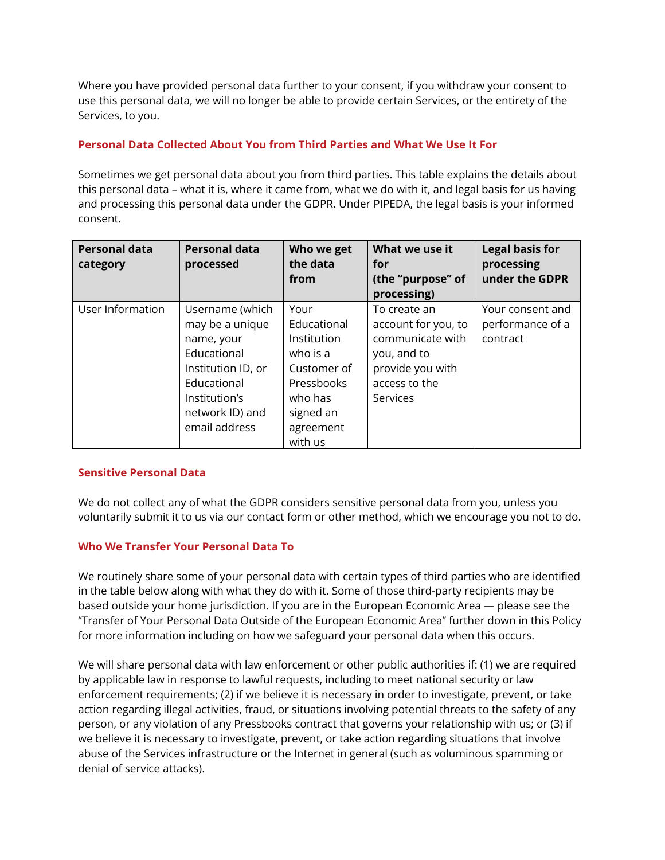Where you have provided personal data further to your consent, if you withdraw your consent to use this personal data, we will no longer be able to provide certain Services, or the entirety of the Services, to you.

# **Personal Data Collected About You from Third Parties and What We Use It For**

Sometimes we get personal data about you from third parties. This table explains the details about this personal data – what it is, where it came from, what we do with it, and legal basis for us having and processing this personal data under the GDPR. Under PIPEDA, the legal basis is your informed consent.

| <b>Personal data</b><br>category | <b>Personal data</b><br>processed                                                                                                                         | Who we get<br>the data<br>from                                                                                   | What we use it<br>for<br>(the "purpose" of<br>processing)                                                               | <b>Legal basis for</b><br>processing<br>under the GDPR |
|----------------------------------|-----------------------------------------------------------------------------------------------------------------------------------------------------------|------------------------------------------------------------------------------------------------------------------|-------------------------------------------------------------------------------------------------------------------------|--------------------------------------------------------|
| User Information                 | Username (which<br>may be a unique<br>name, your<br>Educational<br>Institution ID, or<br>Educational<br>Institution's<br>network ID) and<br>email address | Your<br>Educational<br>Institution<br>who is a<br>Customer of<br>Pressbooks<br>who has<br>signed an<br>agreement | To create an<br>account for you, to<br>communicate with<br>you, and to<br>provide you with<br>access to the<br>Services | Your consent and<br>performance of a<br>contract       |
|                                  |                                                                                                                                                           | with us                                                                                                          |                                                                                                                         |                                                        |

### **Sensitive Personal Data**

We do not collect any of what the GDPR considers sensitive personal data from you, unless you voluntarily submit it to us via our contact form or other method, which we encourage you not to do.

# **Who We Transfer Your Personal Data To**

We routinely share some of your personal data with certain types of third parties who are identified in the table below along with what they do with it. Some of those third-party recipients may be based outside your home jurisdiction. If you are in the European Economic Area — please see the "Transfer of Your Personal Data Outside of the European Economic Area" further down in this Policy for more information including on how we safeguard your personal data when this occurs.

We will share personal data with law enforcement or other public authorities if: (1) we are required by applicable law in response to lawful requests, including to meet national security or law enforcement requirements; (2) if we believe it is necessary in order to investigate, prevent, or take action regarding illegal activities, fraud, or situations involving potential threats to the safety of any person, or any violation of any Pressbooks contract that governs your relationship with us; or (3) if we believe it is necessary to investigate, prevent, or take action regarding situations that involve abuse of the Services infrastructure or the Internet in general (such as voluminous spamming or denial of service attacks).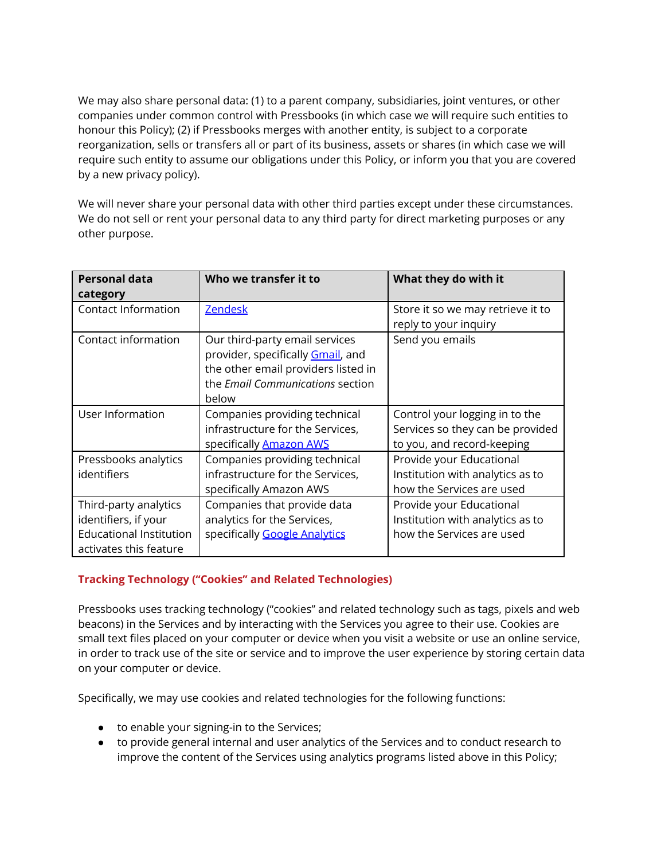We may also share personal data: (1) to a parent company, subsidiaries, joint ventures, or other companies under common control with Pressbooks (in which case we will require such entities to honour this Policy); (2) if Pressbooks merges with another entity, is subject to a corporate reorganization, sells or transfers all or part of its business, assets or shares (in which case we will require such entity to assume our obligations under this Policy, or inform you that you are covered by a new privacy policy).

We will never share your personal data with other third parties except under these circumstances. We do not sell or rent your personal data to any third party for direct marketing purposes or any other purpose.

| <b>Personal data</b>           | Who we transfer it to               | What they do with it              |
|--------------------------------|-------------------------------------|-----------------------------------|
| category                       |                                     |                                   |
| <b>Contact Information</b>     | <b>Zendesk</b>                      | Store it so we may retrieve it to |
|                                |                                     | reply to your inquiry             |
| Contact information            | Our third-party email services      | Send you emails                   |
|                                | provider, specifically Gmail, and   |                                   |
|                                | the other email providers listed in |                                   |
|                                | the Email Communications section    |                                   |
|                                | below                               |                                   |
| User Information               | Companies providing technical       | Control your logging in to the    |
|                                | infrastructure for the Services,    | Services so they can be provided  |
|                                | specifically <b>Amazon AWS</b>      | to you, and record-keeping        |
| Pressbooks analytics           | Companies providing technical       | Provide your Educational          |
| identifiers                    | infrastructure for the Services,    | Institution with analytics as to  |
|                                | specifically Amazon AWS             | how the Services are used         |
| Third-party analytics          | Companies that provide data         | Provide your Educational          |
| identifiers, if your           | analytics for the Services,         | Institution with analytics as to  |
| <b>Educational Institution</b> | specifically Google Analytics       | how the Services are used         |
| activates this feature         |                                     |                                   |

# **Tracking Technology ("Cookies" and Related Technologies)**

Pressbooks uses tracking technology ("cookies" and related technology such as tags, pixels and web beacons) in the Services and by interacting with the Services you agree to their use. Cookies are small text files placed on your computer or device when you visit a website or use an online service, in order to track use of the site or service and to improve the user experience by storing certain data on your computer or device.

Specifically, we may use cookies and related technologies for the following functions:

- to enable your signing-in to the Services;
- to provide general internal and user analytics of the Services and to conduct research to improve the content of the Services using analytics programs listed above in this Policy;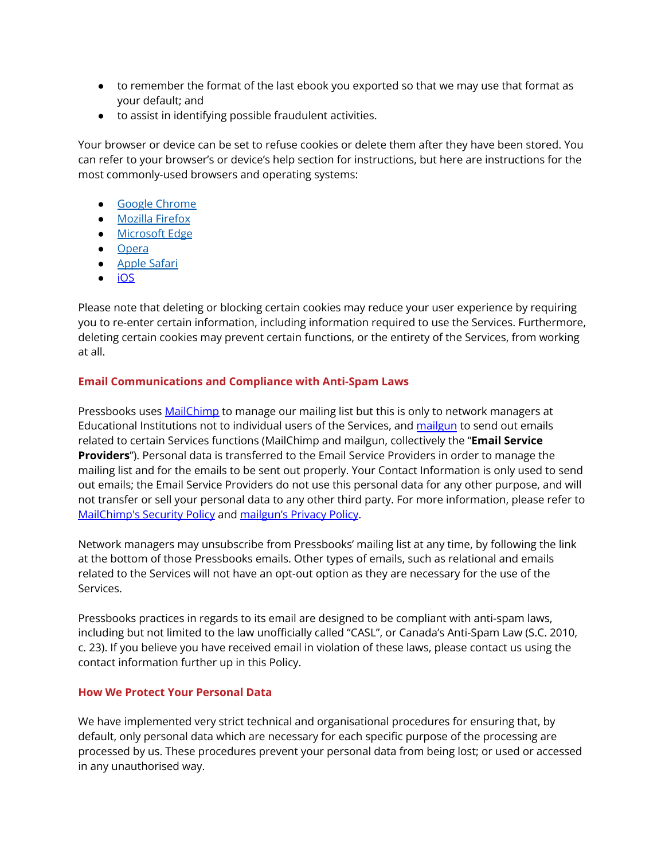- to remember the format of the last ebook you exported so that we may use that format as your default; and
- to assist in identifying possible fraudulent activities.

Your browser or device can be set to refuse cookies or delete them after they have been stored. You can refer to your browser's or device's help section for instructions, but here are instructions for the most commonly-used browsers and operating systems:

- Google [Chrome](https://support.google.com/accounts/answer/61416?co=GENIE.Platform%3DDesktop&hl=en)
- [Mozilla](https://support.mozilla.org/en-US/kb/enable-and-disable-cookies-website-preferences) Firefox
- [Microsoft](https://privacy.microsoft.com/en-us/windows-10-microsoft-edge-and-privacy) Edge
- [Opera](https://www.opera.com/help/tutorials/security/privacy/)
- [Apple](https://support.apple.com/kb/ph21411?locale=en_US) Safari
- [iOS](https://support.apple.com/en-ca/HT201265)

Please note that deleting or blocking certain cookies may reduce your user experience by requiring you to re-enter certain information, including information required to use the Services. Furthermore, deleting certain cookies may prevent certain functions, or the entirety of the Services, from working at all.

### **Email Communications and Compliance with Anti-Spam Laws**

Pressbooks uses [MailChimp](https://mailchimp.com/) to manage our mailing list but this is only to network managers at Educational Institutions not to individual users of the Services, and [mailgun](https://www.mailgun.com/) to send out emails related to certain Services functions (MailChimp and mailgun, collectively the "**Email Service Providers**"). Personal data is transferred to the Email Service Providers in order to manage the mailing list and for the emails to be sent out properly. Your Contact Information is only used to send out emails; the Email Service Providers do not use this personal data for any other purpose, and will not transfer or sell your personal data to any other third party. For more information, please refer to [MailChimp's](https://mailchimp.com/about/security/) Security Policy and [mailgun's](https://www.mailgun.com/privacy-policy/) Privacy Policy.

Network managers may unsubscribe from Pressbooks' mailing list at any time, by following the link at the bottom of those Pressbooks emails. Other types of emails, such as relational and emails related to the Services will not have an opt-out option as they are necessary for the use of the Services.

Pressbooks practices in regards to its email are designed to be compliant with anti-spam laws, including but not limited to the law unofficially called "CASL", or Canada's Anti-Spam Law (S.C. 2010, c. 23). If you believe you have received email in violation of these laws, please contact us using the contact information further up in this Policy.

### **How We Protect Your Personal Data**

We have implemented very strict technical and organisational procedures for ensuring that, by default, only personal data which are necessary for each specific purpose of the processing are processed by us. These procedures prevent your personal data from being lost; or used or accessed in any unauthorised way.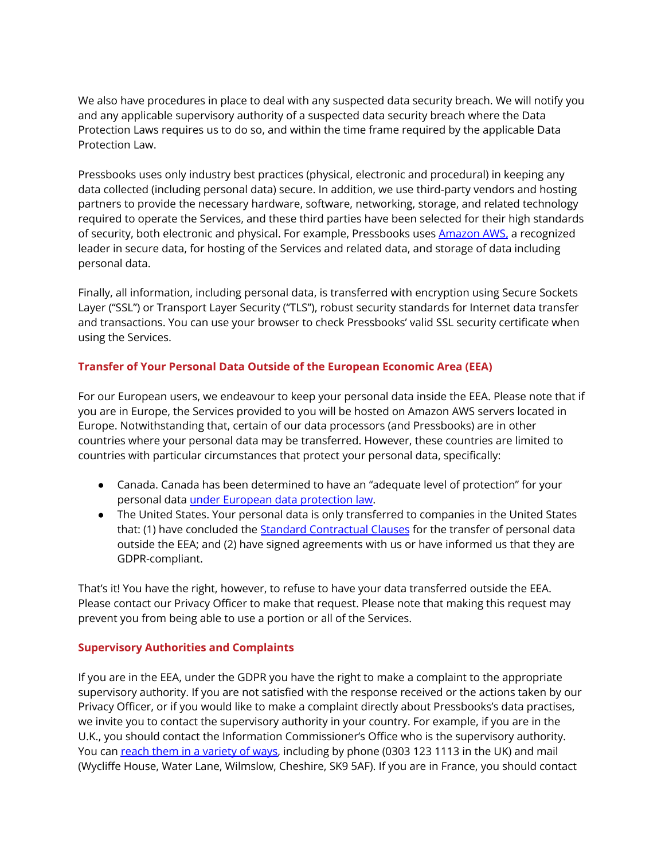We also have procedures in place to deal with any suspected data security breach. We will notify you and any applicable supervisory authority of a suspected data security breach where the Data Protection Laws requires us to do so, and within the time frame required by the applicable Data Protection Law.

Pressbooks uses only industry best practices (physical, electronic and procedural) in keeping any data collected (including personal data) secure. In addition, we use third-party vendors and hosting partners to provide the necessary hardware, software, networking, storage, and related technology required to operate the Services, and these third parties have been selected for their high standards of security, both electronic and physical. For example, Pressbooks uses [Amazon](https://aws.amazon.com/) AWS, a recognized leader in secure data, for hosting of the Services and related data, and storage of data including personal data.

Finally, all information, including personal data, is transferred with encryption using Secure Sockets Layer ("SSL") or Transport Layer Security ("TLS"), robust security standards for Internet data transfer and transactions. You can use your browser to check Pressbooks' valid SSL security certificate when using the Services.

# **Transfer of Your Personal Data Outside of the European Economic Area (EEA)**

For our European users, we endeavour to keep your personal data inside the EEA. Please note that if you are in Europe, the Services provided to you will be hosted on Amazon AWS servers located in Europe. Notwithstanding that, certain of our data processors (and Pressbooks) are in other countries where your personal data may be transferred. However, these countries are limited to countries with particular circumstances that protect your personal data, specifically:

- Canada. Canada has been determined to have an "adequate level of protection" for your personal data under European data [protection](https://ec.europa.eu/info/law/law-topic/data-protection/data-transfers-outside-eu/adequacy-protection-personal-data-non-eu-countries_en) law.
- The United States. Your personal data is only transferred to companies in the United States that: (1) have concluded the Standard [Contractual](https://ec.europa.eu/info/law/law-topic/data-protection/international-dimension-data-protection/standard-contractual-clauses-scc_en) Clauses for the transfer of personal data outside the EEA; and (2) have signed agreements with us or have informed us that they are GDPR-compliant.

That's it! You have the right, however, to refuse to have your data transferred outside the EEA. Please contact our Privacy Officer to make that request. Please note that making this request may prevent you from being able to use a portion or all of the Services.

# **Supervisory Authorities and Complaints**

If you are in the EEA, under the GDPR you have the right to make a complaint to the appropriate supervisory authority. If you are not satisfied with the response received or the actions taken by our Privacy Officer, or if you would like to make a complaint directly about Pressbooks's data practises, we invite you to contact the supervisory authority in your country. For example, if you are in the U.K., you should contact the Information Commissioner's Office who is the supervisory authority. You can reach them in a [variety](https://ico.org.uk/global/contact-us/) of ways, including by phone (0303 123 1113 in the UK) and mail (Wycliffe House, Water Lane, Wilmslow, Cheshire, SK9 5AF). If you are in France, you should contact